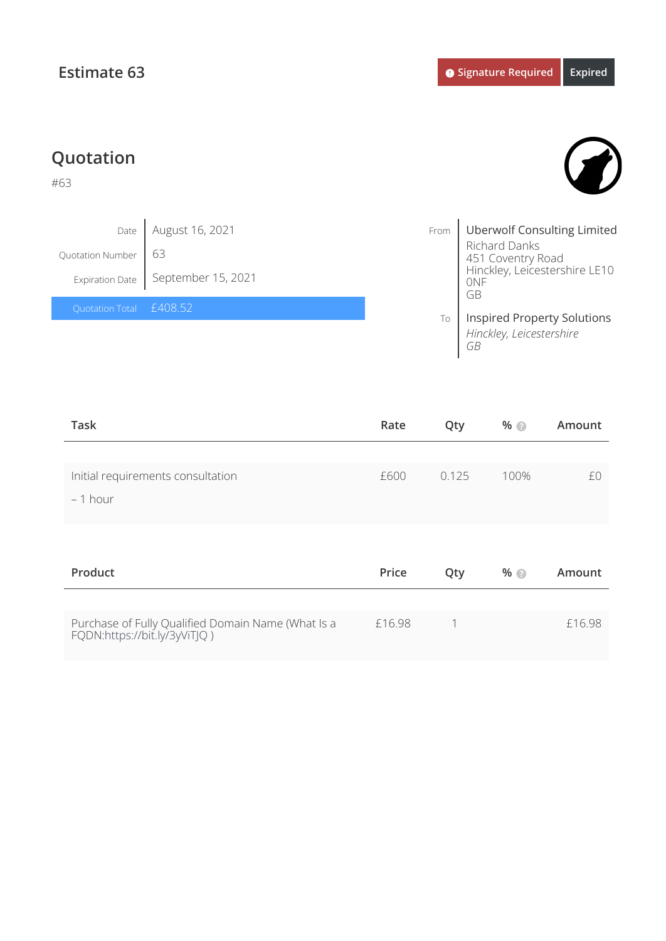FQDN:<https://bit.ly/3yViTJQ>)

## **Quotation** #63 Date Quotation Number Expiration Date From To Uberwolf Consulting Limited Richard Danks 451 Coventry Road Hinckley, Leicestershire LE10 0NF GB Inspired Property Solutions *Hinckley, Leicestershire GB* August 16, 2021 63 September 15, 2021 £408.52

| <b>Task</b>                                        | Rate   | Qty   | %    | Amount |
|----------------------------------------------------|--------|-------|------|--------|
| Initial requirements consultation<br>$-1$ hour     | £600   | 0.125 | 100% | £0     |
| Product                                            | Price  | Qty   | %    | Amount |
| Purchase of Fully Qualified Domain Name (What Is a | £16.98 | 1     |      | £16.98 |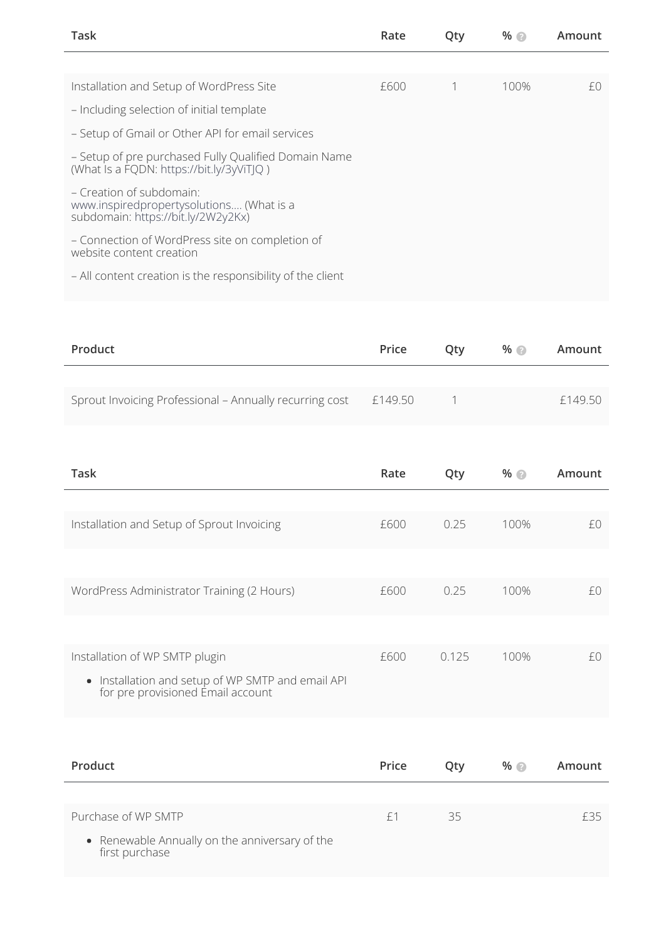| Task                                                                                                       | Rate | Qty | $%$ $\odot$ | Amount |
|------------------------------------------------------------------------------------------------------------|------|-----|-------------|--------|
|                                                                                                            |      |     |             |        |
| Installation and Setup of WordPress Site                                                                   | £600 |     | 100%        | £0     |
| - Including selection of initial template                                                                  |      |     |             |        |
| - Setup of Gmail or Other API for email services                                                           |      |     |             |        |
| - Setup of pre purchased Fully Qualified Domain Name<br>(What Is a FQDN: https://bit.ly/3yViTIQ)           |      |     |             |        |
| - Creation of subdomain:<br>www.inspiredpropertysolutions (What is a<br>subdomain: https://bit.ly/2W2y2Kx) |      |     |             |        |
| - Connection of WordPress site on completion of<br>website content creation                                |      |     |             |        |
| - All content creation is the responsibility of the client                                                 |      |     |             |        |

| Product                                                 | Price   | Otv | $%$ $\odot$ | Amount  |
|---------------------------------------------------------|---------|-----|-------------|---------|
|                                                         |         |     |             |         |
| Sprout Invoicing Professional - Annually recurring cost | £149.50 |     |             | f149.50 |

| Task                                                                                   | Rate | Qty   | %    | Amount |
|----------------------------------------------------------------------------------------|------|-------|------|--------|
|                                                                                        |      |       |      |        |
| Installation and Setup of Sprout Invoicing                                             | £600 | 0.25  | 100% | £0     |
|                                                                                        |      |       |      |        |
| WordPress Administrator Training (2 Hours)                                             | £600 | 0.25  | 100% | £0.    |
|                                                                                        |      |       |      |        |
| Installation of WP SMTP plugin                                                         | £600 | 0.125 | 100% | fΩ     |
| • Installation and setup of WP SMTP and email API<br>for pre provisioned Email account |      |       |      |        |

| Product                                                          | Price | Oty | $%$ $\odot$ | Amount |
|------------------------------------------------------------------|-------|-----|-------------|--------|
|                                                                  |       |     |             |        |
| Purchase of WP SMTP                                              | $+1$  | 35  |             | f35    |
| • Renewable Annually on the anniversary of the<br>first purchase |       |     |             |        |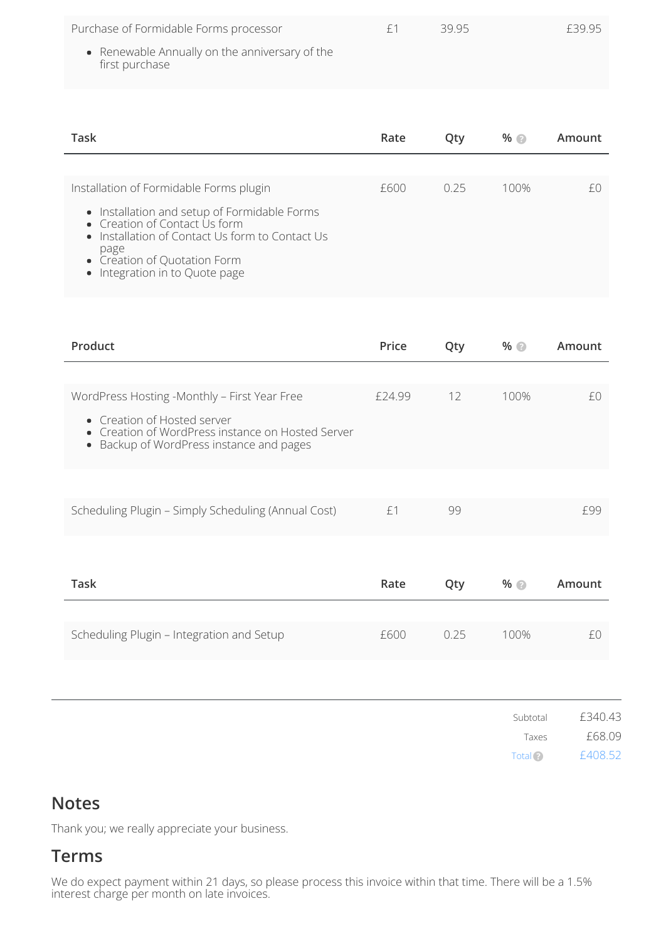| Purchase of Formidable Forms processor<br>• Renewable Annually on the anniversary of the<br>first purchase | £1   | 39.95 |      | £39.95 |
|------------------------------------------------------------------------------------------------------------|------|-------|------|--------|
|                                                                                                            |      |       |      |        |
| Task                                                                                                       | Rate | Qty   | %    | Amount |
|                                                                                                            |      |       |      |        |
| Installation of Formidable Forms plugin                                                                    | f600 | 0.25  | 100% | fΩ     |
| • Installation and setup of Formidable Forms                                                               |      |       |      |        |

- Installation of Contact Us form to Contact Us page
- Creation of Quotation Form

Integration in to Quote page

| Product                                                                                                                                                                                                       | Price  | Qty  | %                            | Amount                       |
|---------------------------------------------------------------------------------------------------------------------------------------------------------------------------------------------------------------|--------|------|------------------------------|------------------------------|
| WordPress Hosting -Monthly - First Year Free<br>Creation of Hosted server<br>$\bullet$<br>Creation of WordPress instance on Hosted Server<br>$\bullet$<br>Backup of WordPress instance and pages<br>$\bullet$ | £24.99 | 12   | 100%                         | £0                           |
| Scheduling Plugin - Simply Scheduling (Annual Cost)                                                                                                                                                           | £1     | 99   |                              | £99                          |
| <b>Task</b>                                                                                                                                                                                                   | Rate   | Qty  | %                            | Amount                       |
| Scheduling Plugin - Integration and Setup                                                                                                                                                                     | £600   | 0.25 | 100%                         | £0                           |
|                                                                                                                                                                                                               |        |      |                              |                              |
|                                                                                                                                                                                                               |        |      | Subtotal<br>Taxes<br>Total ? | £340.43<br>£68.09<br>£408.52 |

## **Notes**

Thank you; we really appreciate your business.

## **Terms**

We do expect payment within 21 days, so please process this invoice within that time. There will be a 1.5% interest charge per month on late invoices.

Total ?